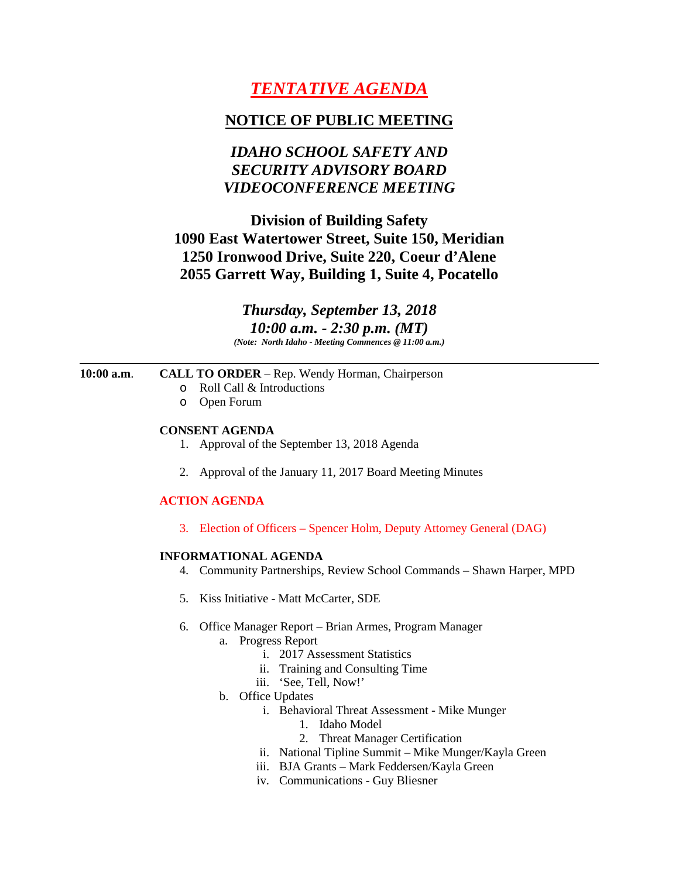# *TENTATIVE AGENDA*

### **NOTICE OF PUBLIC MEETING**

## *IDAHO SCHOOL SAFETY AND SECURITY ADVISORY BOARD VIDEOCONFERENCE MEETING*

### **Division of Building Safety 1090 East Watertower Street, Suite 150, Meridian 1250 Ironwood Drive, Suite 220, Coeur d'Alene 2055 Garrett Way, Building 1, Suite 4, Pocatello**

*Thursday, September 13, 2018 10:00 a.m. - 2:30 p.m. (MT) (Note: North Idaho - Meeting Commences @ 11:00 a.m.)*

#### **10:00 a.m**. **CALL TO ORDER** – Rep. Wendy Horman, Chairperson

- o Roll Call & Introductions
- o Open Forum

#### **CONSENT AGENDA**

- 1. Approval of the September 13, 2018 Agenda
- 2. Approval of the January 11, 2017 Board Meeting Minutes

#### **ACTION AGENDA**

3. Election of Officers – Spencer Holm, Deputy Attorney General (DAG)

#### **INFORMATIONAL AGENDA**

- 4. Community Partnerships, Review School Commands Shawn Harper, MPD
- 5. Kiss Initiative Matt McCarter, SDE
- 6. Office Manager Report Brian Armes, Program Manager
	- a. Progress Report
		- i. 2017 Assessment Statistics
			- ii. Training and Consulting Time
			- iii. 'See, Tell, Now!'
	- b. Office Updates
		- i. Behavioral Threat Assessment Mike Munger
			- 1. Idaho Model
			- 2. Threat Manager Certification
		- ii. National Tipline Summit Mike Munger/Kayla Green
		- iii. BJA Grants Mark Feddersen/Kayla Green
		- iv. Communications Guy Bliesner